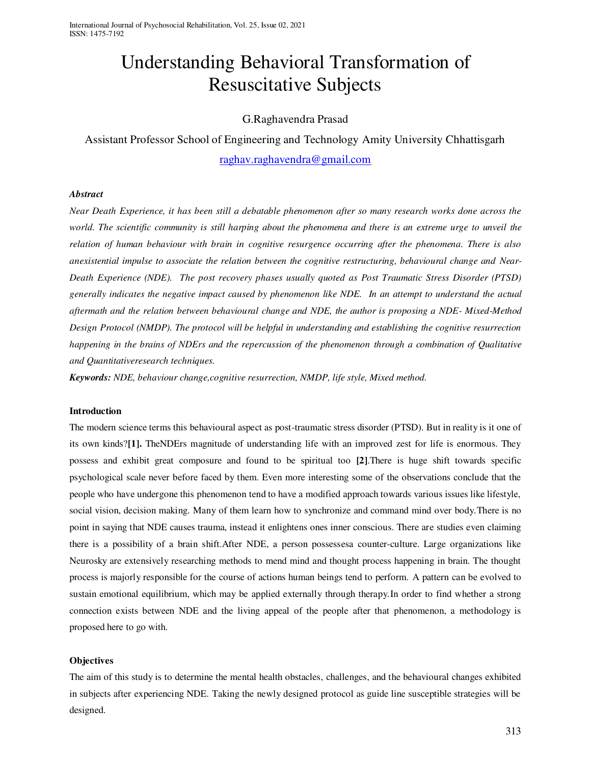# Understanding Behavioral Transformation of Resuscitative Subjects

# G.Raghavendra Prasad

Assistant Professor School of Engineering and Technology Amity University Chhattisgarh [raghav.raghavendra@gmail.com](mailto:raghav.raghavendra@gmail.com)

## *Abstract*

*Near Death Experience, it has been still a debatable phenomenon after so many research works done across the world. The scientific community is still harping about the phenomena and there is an extreme urge to unveil the relation of human behaviour with brain in cognitive resurgence occurring after the phenomena. There is also anexistential impulse to associate the relation between the cognitive restructuring, behavioural change and Near-Death Experience (NDE). The post recovery phases usually quoted as Post Traumatic Stress Disorder (PTSD) generally indicates the negative impact caused by phenomenon like NDE. In an attempt to understand the actual aftermath and the relation between behavioural change and NDE, the author is proposing a NDE- Mixed-Method Design Protocol (NMDP). The protocol will be helpful in understanding and establishing the cognitive resurrection happening in the brains of NDErs and the repercussion of the phenomenon through a combination of Qualitative and Quantitativeresearch techniques.* 

*Keywords: NDE, behaviour change,cognitive resurrection, NMDP, life style, Mixed method.* 

#### **Introduction**

The modern science terms this behavioural aspect as post-traumatic stress disorder (PTSD). But in reality is it one of its own kinds?**[1].** TheNDErs magnitude of understanding life with an improved zest for life is enormous. They possess and exhibit great composure and found to be spiritual too **[2]**.There is huge shift towards specific psychological scale never before faced by them. Even more interesting some of the observations conclude that the people who have undergone this phenomenon tend to have a modified approach towards various issues like lifestyle, social vision, decision making. Many of them learn how to synchronize and command mind over body.There is no point in saying that NDE causes trauma, instead it enlightens ones inner conscious. There are studies even claiming there is a possibility of a brain shift.After NDE, a person possessesa counter-culture. Large organizations like Neurosky are extensively researching methods to mend mind and thought process happening in brain. The thought process is majorly responsible for the course of actions human beings tend to perform. A pattern can be evolved to sustain emotional equilibrium, which may be applied externally through therapy.In order to find whether a strong connection exists between NDE and the living appeal of the people after that phenomenon, a methodology is proposed here to go with.

# **Objectives**

The aim of this study is to determine the mental health obstacles, challenges, and the behavioural changes exhibited in subjects after experiencing NDE. Taking the newly designed protocol as guide line susceptible strategies will be designed.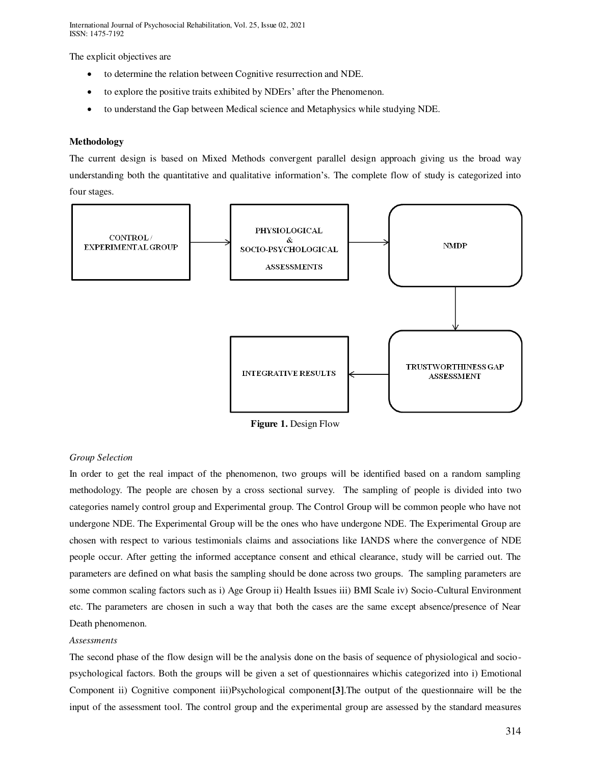The explicit objectives are

- to determine the relation between Cognitive resurrection and NDE.
- to explore the positive traits exhibited by NDErs' after the Phenomenon.
- to understand the Gap between Medical science and Metaphysics while studying NDE.

## **Methodology**

The current design is based on Mixed Methods convergent parallel design approach giving us the broad way understanding both the quantitative and qualitative information's. The complete flow of study is categorized into four stages.



**Figure 1.** Design Flow

#### *Group Selection*

In order to get the real impact of the phenomenon, two groups will be identified based on a random sampling methodology. The people are chosen by a cross sectional survey. The sampling of people is divided into two categories namely control group and Experimental group. The Control Group will be common people who have not undergone NDE. The Experimental Group will be the ones who have undergone NDE. The Experimental Group are chosen with respect to various testimonials claims and associations like IANDS where the convergence of NDE people occur. After getting the informed acceptance consent and ethical clearance, study will be carried out. The parameters are defined on what basis the sampling should be done across two groups. The sampling parameters are some common scaling factors such as i) Age Group ii) Health Issues iii) BMI Scale iv) Socio-Cultural Environment etc. The parameters are chosen in such a way that both the cases are the same except absence/presence of Near Death phenomenon.

#### *Assessments*

The second phase of the flow design will be the analysis done on the basis of sequence of physiological and sociopsychological factors. Both the groups will be given a set of questionnaires whichis categorized into i) Emotional Component ii) Cognitive component iii)Psychological component**[3]**.The output of the questionnaire will be the input of the assessment tool. The control group and the experimental group are assessed by the standard measures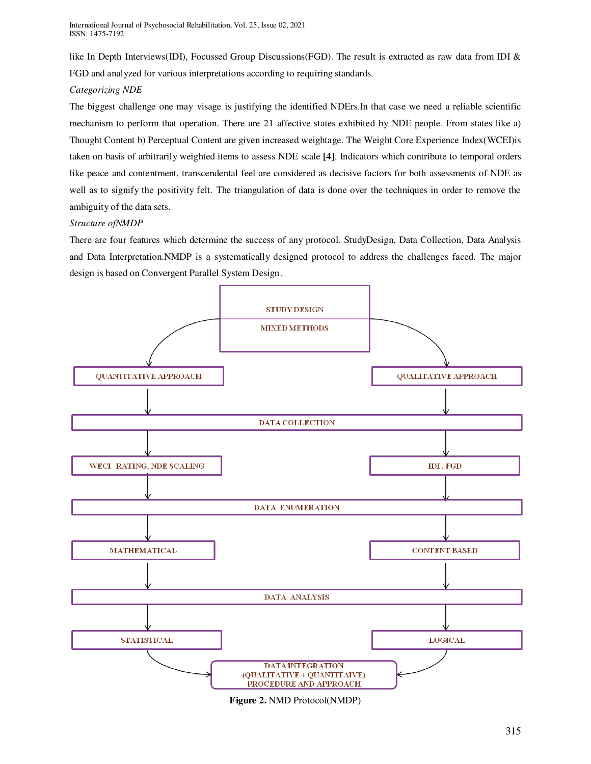like In Depth Interviews(IDI), Focussed Group Discussions(FGD). The result is extracted as raw data from IDI & FGD and analyzed for various interpretations according to requiring standards.

# *Categorizing NDE*

The biggest challenge one may visage is justifying the identified NDErs.In that case we need a reliable scientific mechanism to perform that operation. There are 21 affective states exhibited by NDE people. From states like a) Thought Content b) Perceptual Content are given increased weightage. The Weight Core Experience Index(WCEI)is taken on basis of arbitrarily weighted items to assess NDE scale **[4]**. Indicators which contribute to temporal orders like peace and contentment, transcendental feel are considered as decisive factors for both assessments of NDE as well as to signify the positivity felt. The triangulation of data is done over the techniques in order to remove the ambiguity of the data sets.

# *Structure ofNMDP*

There are four features which determine the success of any protocol. StudyDesign, Data Collection, Data Analysis and Data Interpretation.NMDP is a systematically designed protocol to address the challenges faced. The major design is based on Convergent Parallel System Design.



**Figure 2.** NMD Protocol(NMDP)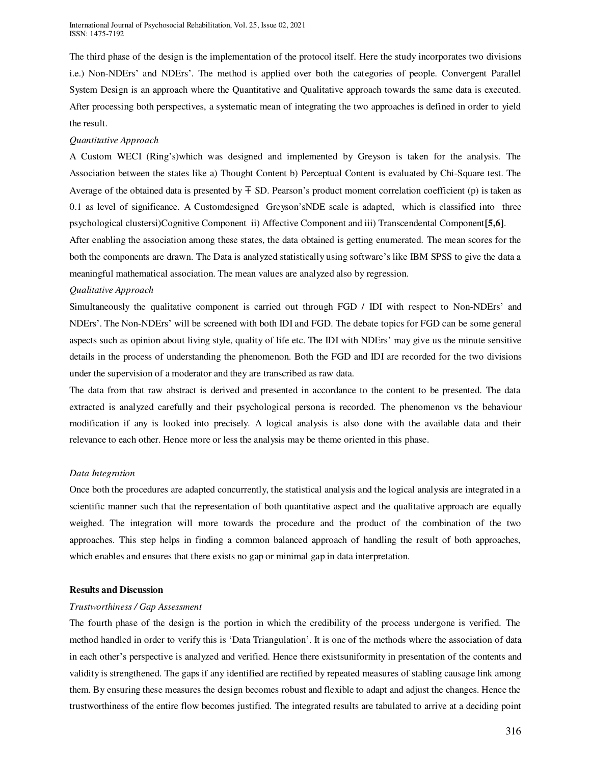The third phase of the design is the implementation of the protocol itself. Here the study incorporates two divisions i.e.) Non-NDErs' and NDErs'. The method is applied over both the categories of people. Convergent Parallel System Design is an approach where the Quantitative and Qualitative approach towards the same data is executed. After processing both perspectives, a systematic mean of integrating the two approaches is defined in order to yield the result.

# *Quantitative Approach*

A Custom WECI (Ring's)which was designed and implemented by Greyson is taken for the analysis. The Association between the states like a) Thought Content b) Perceptual Content is evaluated by Chi-Square test. The Average of the obtained data is presented by  $\pm$  SD. Pearson's product moment correlation coefficient (p) is taken as 0.1 as level of significance. A Customdesigned Greyson'sNDE scale is adapted, which is classified into three psychological clustersi)Cognitive Component ii) Affective Component and iii) Transcendental Component**[5,6]**. After enabling the association among these states, the data obtained is getting enumerated. The mean scores for the

both the components are drawn. The Data is analyzed statistically using software's like IBM SPSS to give the data a meaningful mathematical association. The mean values are analyzed also by regression.

# *Qualitative Approach*

Simultaneously the qualitative component is carried out through FGD / IDI with respect to Non-NDErs' and NDErs'. The Non-NDErs' will be screened with both IDI and FGD. The debate topics for FGD can be some general aspects such as opinion about living style, quality of life etc. The IDI with NDErs' may give us the minute sensitive details in the process of understanding the phenomenon. Both the FGD and IDI are recorded for the two divisions under the supervision of a moderator and they are transcribed as raw data.

The data from that raw abstract is derived and presented in accordance to the content to be presented. The data extracted is analyzed carefully and their psychological persona is recorded. The phenomenon vs the behaviour modification if any is looked into precisely. A logical analysis is also done with the available data and their relevance to each other. Hence more or less the analysis may be theme oriented in this phase.

# *Data Integration*

Once both the procedures are adapted concurrently, the statistical analysis and the logical analysis are integrated in a scientific manner such that the representation of both quantitative aspect and the qualitative approach are equally weighed. The integration will more towards the procedure and the product of the combination of the two approaches. This step helps in finding a common balanced approach of handling the result of both approaches, which enables and ensures that there exists no gap or minimal gap in data interpretation.

# **Results and Discussion**

# *Trustworthiness / Gap Assessment*

The fourth phase of the design is the portion in which the credibility of the process undergone is verified. The method handled in order to verify this is 'Data Triangulation'. It is one of the methods where the association of data in each other's perspective is analyzed and verified. Hence there existsuniformity in presentation of the contents and validity is strengthened. The gaps if any identified are rectified by repeated measures of stabling causage link among them. By ensuring these measures the design becomes robust and flexible to adapt and adjust the changes. Hence the trustworthiness of the entire flow becomes justified. The integrated results are tabulated to arrive at a deciding point